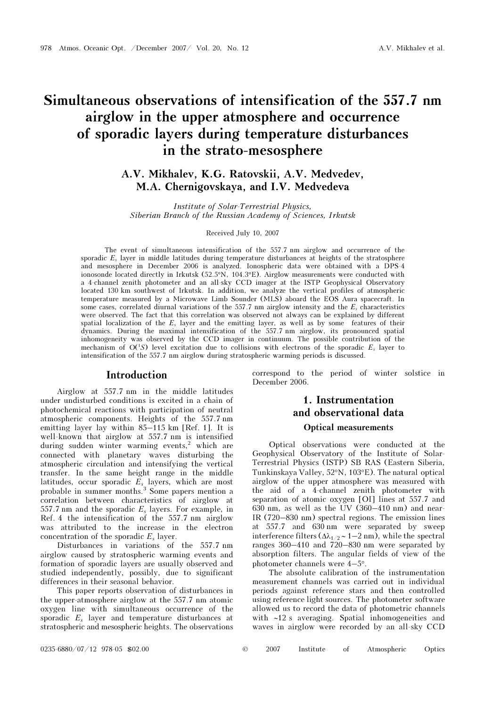# Simultaneous observations of intensification of the 557.7 nm airglow in the upper atmosphere and occurrence of sporadic layers during temperature disturbances in the strato-mesosphere

A.V. Mikhalev, K.G. Ratovskii, A.V. Medvedev, M.A. Chernigovskaya, and I.V. Medvedeva

Institute of Solar-Terrestrial Physics, Siberian Branch of the Russian Academy of Sciences, Irkutsk

### Received July 10, 2007

The event of simultaneous intensification of the 557.7 nm airglow and occurrence of the sporadic  $E_s$  layer in middle latitudes during temperature disturbances at heights of the stratosphere and mesosphere in December 2006 is analyzed. Ionospheric data were obtained with a DPS-4 ionosonde located directly in Irkutsk (52.5°N, 104.3°E). Airglow measurements were conducted with a 4-channel zenith photometer and an all-sky CCD imager at the ISTP Geophysical Observatory located 130 km southwest of Irkutsk. In addition, we analyze the vertical profiles of atmospheric temperature measured by a Microwave Limb Sounder (MLS) aboard the EOS Aura spacecraft. In some cases, correlated diurnal variations of the 557.7 nm airglow intensity and the  $E_s$  characteristics were observed. The fact that this correlation was observed not always can be explained by different spatial localization of the  $E_s$  layer and the emitting layer, as well as by some features of their dynamics. During the maximal intensification of the 557.7 nm airglow, its pronounced spatial inhomogeneity was observed by the CCD imager in continuum. The possible contribution of the mechanism of  $O(^{1}S)$  level excitation due to collisions with electrons of the sporadic  $E_s$  layer to intensification of the 557.7 nm airglow during stratospheric warming periods is discussed.

### Introduction

Airglow at 557.7 nm in the middle latitudes under undisturbed conditions is excited in a chain of photochemical reactions with participation of neutral atmospheric components. Heights of the 557.7-nm emitting layer lay within 85–115 km [Ref. 1]. It is well-known that airglow at 557.7 nm is intensified during sudden winter warming events,<sup>2</sup> which are connected with planetary waves disturbing the atmospheric circulation and intensifying the vertical transfer. In the same height range in the middle latitudes, occur sporadic  $E_s$  layers, which are most probable in summer months.<sup>3</sup> Some papers mention a correlation between characteristics of airglow at 557.7 nm and the sporadic  $E_s$  layers. For example, in Ref. 4 the intensification of the 557.7 nm airglow was attributed to the increase in the electron concentration of the sporadic  $E_s$  layer.

Disturbances in variations of the 557.7 nm airglow caused by stratospheric warming events and formation of sporadic layers are usually observed and studied independently, possibly, due to significant differences in their seasonal behavior.

This paper reports observation of disturbances in the upper-atmosphere airglow at the 557.7 nm atomic oxygen line with simultaneous occurrence of the sporadic  $E_s$  layer and temperature disturbances at stratospheric and mesospheric heights. The observations correspond to the period of winter solstice in December 2006.

# 1. Instrumentation and observational data Optical measurements

Optical observations were conducted at the Geophysical Observatory of the Institute of Solar-Terrestrial Physics (ISTP) SB RAS (Eastern Siberia, Tunkinskaya Valley, 52°N, 103°E). The natural optical airglow of the upper atmosphere was measured with the aid of a 4-channel zenith photometer with separation of atomic oxygen [OI] lines at 557.7 and 630 nm, as well as the UV (360–410 nm) and near-IR (720–830 nm) spectral regions. The emission lines at 557.7 and 630 nm were separated by sweep interference filters ( $\Delta\lambda_{1/2}$  ~ 1–2 nm), while the spectral ranges 360–410 and 720–830 nm were separated by absorption filters. The angular fields of view of the photometer channels were 4–5°.

The absolute calibration of the instrumentation measurement channels was carried out in individual periods against reference stars and then controlled using reference light sources. The photometer software allowed us to record the data of photometric channels with ∼12 s averaging. Spatial inhomogeneities and waves in airglow were recorded by an all-sky CCD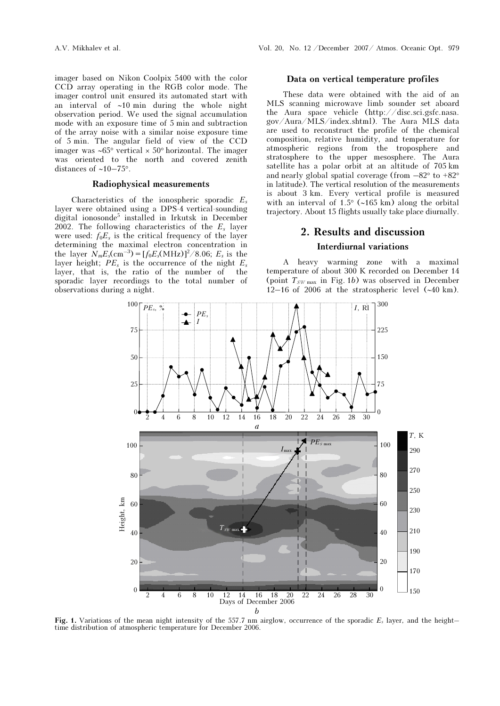imager based on Nikon Coolpix 5400 with the color CCD array operating in the RGB color mode. The imager control unit ensured its automated start with an interval of ∼10 min during the whole night observation period. We used the signal accumulation mode with an exposure time of 5 min and subtraction of the array noise with a similar noise exposure time of 5 min. The angular field of view of the CCD imager was ∼65° vertical × 50° horizontal. The imager was oriented to the north and covered zenith distances of ∼10–75°.

### Radiophysical measurements

Characteristics of the ionospheric sporadic  $E_s$ layer were obtained using a DPS-4 vertical-sounding digital ionosonde<sup>5</sup> installed in Irkutsk in December 2002. The following characteristics of the  $E_s$  layer were used:  $f_0E_s$  is the critical frequency of the layer determining the maximal electron concentration in the layer  $N_m E_s$ (cm<sup>-3</sup>) = [ $f_0 E_s$ (MHz)]<sup>2</sup>/8.06;  $E_s$  is the layer height;  $PE_s$  is the occurrence of the night  $E_s$ layer, that is, the ratio of the number of the sporadic layer recordings to the total number of observations during a night.

### Data on vertical temperature profiles

These data were obtained with the aid of an MLS scanning microwave limb sounder set aboard the Aura space vehicle (http://disc.sci.gsfc.nasa. gov/Aura/MLS/index.shtml). The Aura MLS data are used to reconstruct the profile of the chemical composition, relative humidity, and temperature for atmospheric regions from the troposphere and stratosphere to the upper mesosphere. The Aura satellite has a polar orbit at an altitude of 705 km and nearly global spatial coverage (from  $-82^{\circ}$  to  $+82^{\circ}$ in latitude). The vertical resolution of the measurements is about 3 km. Every vertical profile is measured with an interval of 1.5° (∼165 km) along the orbital trajectory. About 15 flights usually take place diurnally.

# 2. Results and discussion Interdiurnal variations

A heavy warming zone with a maximal temperature of about 300 K recorded on December 14 (point  $T_{SW \text{max}}$  in Fig. 1b) was observed in December 12–16 of 2006 at the stratospheric level (∼40 km).



Fig. 1. Variations of the mean night intensity of the 557.7 nm airglow, occurrence of the sporadic  $E_s$  layer, and the height– time distribution of atmospheric temperature for December 2006.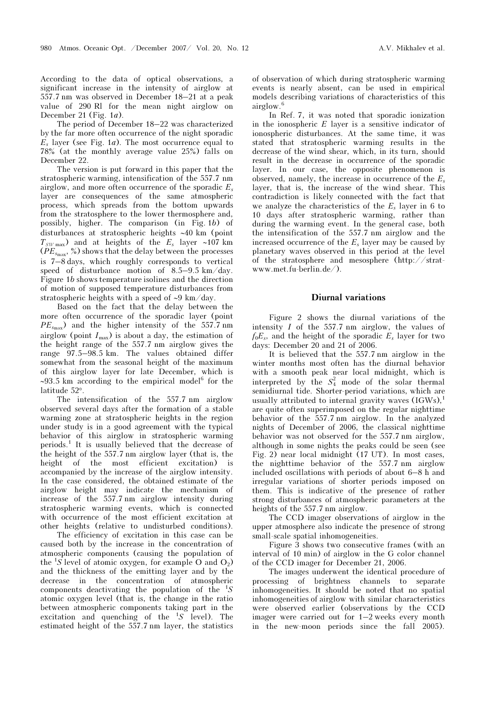According to the data of optical observations, a significant increase in the intensity of airglow at 557.7 nm was observed in December 18–21 at a peak value of 290 Rl for the mean night airglow on December 21 (Fig.  $1a$ ).

The period of December 18–22 was characterized by the far more often occurrence of the night sporadic  $E_s$  layer (see Fig. 1*a*). The most occurrence equal to 78% (at the monthly average value 25%) falls on December 22.

The version is put forward in this paper that the stratospheric warming, intensification of the 557.7 nm airglow, and more often occurrence of the sporadic  $E_s$ layer are consequences of the same atmospheric process, which spreads from the bottom upwards from the stratosphere to the lower thermosphere and, possibly, higher. The comparison (in Fig. 1b) of disturbances at stratospheric heights ∼40 km (point  $T_{SW \text{max}}$ ) and at heights of the  $E_s$  layer ∼107 km  $(PE_{s_{\text{max}}}, %$  %) shows that the delay between the processes is 7–8 days, which roughly corresponds to vertical speed of disturbance motion of 8.5–9.5 km/day. Figure 1b shows temperature isolines and the direction of motion of supposed temperature disturbances from stratospheric heights with a speed of ∼9 km/day.

Based on the fact that the delay between the more often occurrence of the sporadic layer (point  $PE_{s_{\text{max}}}$ ) and the higher intensity of the 557.7 nm airglow (point  $I_{\text{max}}$ ) is about a day, the estimation of the height range of the 557.7 nm airglow gives the range 97.5–98.5 km. The values obtained differ somewhat from the seasonal height of the maximum of this airglow layer for late December, which is ∼93.5 km according to the empirical model<sup>6</sup> for the latitude 52°.

The intensification of the 557.7 nm airglow observed several days after the formation of a stable warming zone at stratospheric heights in the region under study is in a good agreement with the typical behavior of this airglow in stratospheric warming periods.<sup>1</sup> It is usually believed that the decrease of the height of the 557.7 nm airglow layer (that is, the height of the most efficient excitation) is accompanied by the increase of the airglow intensity. In the case considered, the obtained estimate of the airglow height may indicate the mechanism of increase of the 557.7 nm airglow intensity during stratospheric warming events, which is connected with occurrence of the most efficient excitation at other heights (relative to undisturbed conditions).

 The efficiency of excitation in this case can be caused both by the increase in the concentration of atmospheric components (causing the population of the  ${}^{1}S$  level of atomic oxygen, for example O and  $O_2$ ) and the thickness of the emitting layer and by the decrease in the concentration of atmospheric components deactivating the population of the  ${}^{1}S$ atomic oxygen level (that is, the change in the ratio between atmospheric components taking part in the excitation and quenching of the  ${}^{1}S$  level). The estimated height of the 557.7 nm layer, the statistics

of observation of which during stratospheric warming events is nearly absent, can be used in empirical models describing variations of characteristics of this airglow.<sup>6</sup>

In Ref. 7, it was noted that sporadic ionization in the ionospheric  $E$  layer is a sensitive indicator of ionospheric disturbances. At the same time, it was stated that stratospheric warming results in the decrease of the wind shear, which, in its turn, should result in the decrease in occurrence of the sporadic layer. In our case, the opposite phenomenon is observed, namely, the increase in occurrence of the  $E_s$ layer, that is, the increase of the wind shear. This contradiction is likely connected with the fact that we analyze the characteristics of the  $E_s$  layer in 6 to 10 days after stratospheric warming, rather than during the warming event. In the general case, both the intensification of the 557.7 nm airglow and the increased occurrence of the  $E_s$  layer may be caused by planetary waves observed in this period at the level of the stratosphere and mesosphere (http://stratwww.met.fu-berlin.de/).

### Diurnal variations

Figure 2 shows the diurnal variations of the intensity I of the 557.7 nm airglow, the values of  $f_0E_s$ , and the height of the sporadic  $E_s$  layer for two days: December 20 and 21 of 2006.

It is believed that the 557.7 nm airglow in the winter months most often has the diurnal behavior with a smooth peak near local midnight, which is interpreted by the  $S_4^2$  mode of the solar thermal semidiurnal tide. Shorter-period variations, which are usually attributed to internal gravity waves  $(IGWs)$ , are quite often superimposed on the regular nighttime behavior of the 557.7 nm airglow. In the analyzed nights of December of 2006, the classical nighttime behavior was not observed for the 557.7 nm airglow, although in some nights the peaks could be seen (see Fig. 2) near local midnight  $(17 \text{ UT})$ . In most cases, the nighttime behavior of the 557.7 nm airglow included oscillations with periods of about 6–8 h and irregular variations of shorter periods imposed on them. This is indicative of the presence of rather strong disturbances of atmospheric parameters at the heights of the 557.7 nm airglow.

The CCD imager observations of airglow in the upper atmosphere also indicate the presence of strong small-scale spatial inhomogeneities.

Figure 3 shows two consecutive frames (with an interval of 10 min) of airglow in the G color channel of the CCD imager for December 21, 2006.

The images underwent the identical procedure of processing of brightness channels to separate inhomogeneities. It should be noted that no spatial inhomogeneities of airglow with similar characteristics were observed earlier (observations by the CCD imager were carried out for 1–2 weeks every month in the new-moon periods since the fall 2005).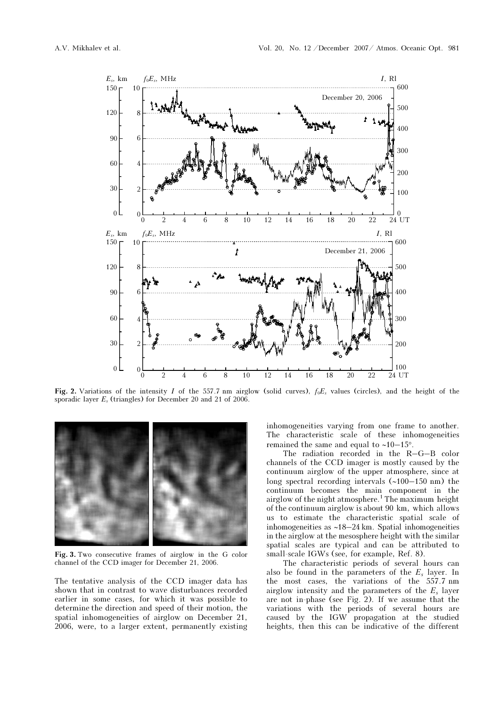

Fig. 2. Variations of the intensity I of the 557.7 nm airglow (solid curves),  $f_0E_s$  values (circles), and the height of the sporadic layer  $E_s$  (triangles) for December 20 and 21 of 2006.



Fig. 3. Two consecutive frames of airglow in the G color channel of the CCD imager for December 21, 2006.

The tentative analysis of the CCD imager data has shown that in contrast to wave disturbances recorded earlier in some cases, for which it was possible to determine the direction and speed of their motion, the spatial inhomogeneities of airglow on December 21, 2006, were, to a larger extent, permanently existing

inhomogeneities varying from one frame to another. The characteristic scale of these inhomogeneities remained the same and equal to ∼10–15°.

The radiation recorded in the R–G–B color channels of the CCD imager is mostly caused by the continuum airglow of the upper atmosphere, since at long spectral recording intervals (∼100–150 nm) the continuum becomes the main component in the airglow of the night atmosphere.<sup>1</sup> The maximum height of the continuum airglow is about 90 km, which allows us to estimate the characteristic spatial scale of inhomogeneities as ∼18–24 km. Spatial inhomogeneities in the airglow at the mesosphere height with the similar spatial scales are typical and can be attributed to small-scale IGWs (see, for example, Ref. 8).

The characteristic periods of several hours can also be found in the parameters of the  $E_s$  layer. In the most cases, the variations of the 557.7 nm airglow intensity and the parameters of the  $E_s$  layer are not in-phase (see Fig. 2). If we assume that the variations with the periods of several hours are caused by the IGW propagation at the studied heights, then this can be indicative of the different